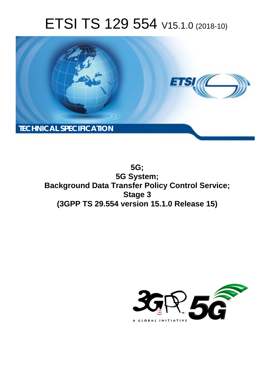# ETSI TS 129 554 V15.1.0 (2018-10)



**5G; 5G System; Background Data Transfer Policy Control Service; Stage 3 (3GPP TS 29.554 version 15.1.0 Release 15)** 

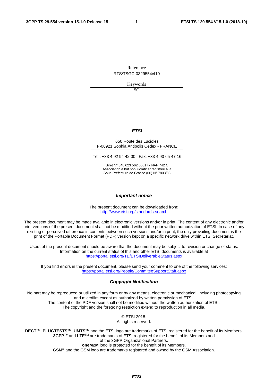Reference RTS/TSGC-0329554vf10

Keywords

 $5G$ 

### *ETSI*

#### 650 Route des Lucioles F-06921 Sophia Antipolis Cedex - FRANCE

Tel.: +33 4 92 94 42 00 Fax: +33 4 93 65 47 16

Siret N° 348 623 562 00017 - NAF 742 C Association à but non lucratif enregistrée à la Sous-Préfecture de Grasse (06) N° 7803/88

#### *Important notice*

The present document can be downloaded from: <http://www.etsi.org/standards-search>

The present document may be made available in electronic versions and/or in print. The content of any electronic and/or print versions of the present document shall not be modified without the prior written authorization of ETSI. In case of any existing or perceived difference in contents between such versions and/or in print, the only prevailing document is the print of the Portable Document Format (PDF) version kept on a specific network drive within ETSI Secretariat.

Users of the present document should be aware that the document may be subject to revision or change of status. Information on the current status of this and other ETSI documents is available at <https://portal.etsi.org/TB/ETSIDeliverableStatus.aspx>

If you find errors in the present document, please send your comment to one of the following services: <https://portal.etsi.org/People/CommiteeSupportStaff.aspx>

#### *Copyright Notification*

No part may be reproduced or utilized in any form or by any means, electronic or mechanical, including photocopying and microfilm except as authorized by written permission of ETSI. The content of the PDF version shall not be modified without the written authorization of ETSI. The copyright and the foregoing restriction extend to reproduction in all media.

> © ETSI 2018. All rights reserved.

**DECT**TM, **PLUGTESTS**TM, **UMTS**TM and the ETSI logo are trademarks of ETSI registered for the benefit of its Members. **3GPP**TM and **LTE**TM are trademarks of ETSI registered for the benefit of its Members and of the 3GPP Organizational Partners. **oneM2M** logo is protected for the benefit of its Members.

**GSM**® and the GSM logo are trademarks registered and owned by the GSM Association.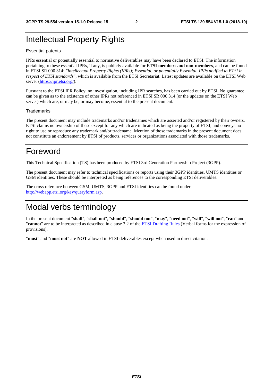## Intellectual Property Rights

#### Essential patents

IPRs essential or potentially essential to normative deliverables may have been declared to ETSI. The information pertaining to these essential IPRs, if any, is publicly available for **ETSI members and non-members**, and can be found in ETSI SR 000 314: *"Intellectual Property Rights (IPRs); Essential, or potentially Essential, IPRs notified to ETSI in respect of ETSI standards"*, which is available from the ETSI Secretariat. Latest updates are available on the ETSI Web server ([https://ipr.etsi.org/\)](https://ipr.etsi.org/).

Pursuant to the ETSI IPR Policy, no investigation, including IPR searches, has been carried out by ETSI. No guarantee can be given as to the existence of other IPRs not referenced in ETSI SR 000 314 (or the updates on the ETSI Web server) which are, or may be, or may become, essential to the present document.

#### **Trademarks**

The present document may include trademarks and/or tradenames which are asserted and/or registered by their owners. ETSI claims no ownership of these except for any which are indicated as being the property of ETSI, and conveys no right to use or reproduce any trademark and/or tradename. Mention of those trademarks in the present document does not constitute an endorsement by ETSI of products, services or organizations associated with those trademarks.

## Foreword

This Technical Specification (TS) has been produced by ETSI 3rd Generation Partnership Project (3GPP).

The present document may refer to technical specifications or reports using their 3GPP identities, UMTS identities or GSM identities. These should be interpreted as being references to the corresponding ETSI deliverables.

The cross reference between GSM, UMTS, 3GPP and ETSI identities can be found under [http://webapp.etsi.org/key/queryform.asp.](http://webapp.etsi.org/key/queryform.asp)

## Modal verbs terminology

In the present document "**shall**", "**shall not**", "**should**", "**should not**", "**may**", "**need not**", "**will**", "**will not**", "**can**" and "**cannot**" are to be interpreted as described in clause 3.2 of the [ETSI Drafting Rules](https://portal.etsi.org/Services/editHelp!/Howtostart/ETSIDraftingRules.aspx) (Verbal forms for the expression of provisions).

"**must**" and "**must not**" are **NOT** allowed in ETSI deliverables except when used in direct citation.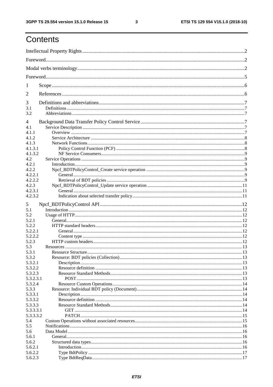## Contents

| 1         |  |
|-----------|--|
| 2         |  |
| 3         |  |
| 3.1       |  |
| 3.2       |  |
| 4         |  |
| 4.1       |  |
| 4.1.1     |  |
| 4.1.2     |  |
| 4.1.3     |  |
| 4.1.3.1   |  |
| 4.1.3.2   |  |
| 4.2       |  |
| 4.2.1     |  |
| 4.2.2     |  |
| 4.2.2.1   |  |
| 4.2.2.2   |  |
| 4.2.3     |  |
| 4.2.3.1   |  |
| 4.2.3.2   |  |
| 5         |  |
| 5.1       |  |
| 5.2       |  |
| 5.2.1     |  |
| 5.2.2     |  |
| 5.2.2.1   |  |
| 5.2.2.2   |  |
| 5.2.3     |  |
| 5.3       |  |
| 5.3.1     |  |
| 5.3.2     |  |
| 5.3.2.1   |  |
| 5.3.2.2   |  |
| 5.3.2.3   |  |
| 5.3.2.3.1 |  |
| 5.3.2.4   |  |
| 5.3.3     |  |
| 5.3.3.1   |  |
| 5.3.3.2   |  |
| 5.3.3.3   |  |
| 5.3.3.3.1 |  |
| 5.3.3.3.2 |  |
| 5.4       |  |
| 5.5       |  |
| 5.6       |  |
| 5.6.1     |  |
| 5.6.2     |  |
| 5.6.2.1   |  |
| 5.6.2.2   |  |
| 5.6.2.3   |  |
|           |  |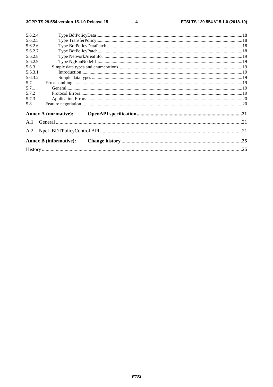$\overline{\mathbf{4}}$ 

| 5.6.2.4 |                               |  |
|---------|-------------------------------|--|
| 5.6.2.5 |                               |  |
| 5.6.2.6 |                               |  |
| 5.6.2.7 |                               |  |
| 5.6.2.8 |                               |  |
| 5.6.2.9 |                               |  |
| 5.6.3   |                               |  |
| 5.6.3.1 |                               |  |
| 5.6.3.2 |                               |  |
| 5.7     |                               |  |
| 5.7.1   |                               |  |
| 5.7.2   |                               |  |
| 5.7.3   |                               |  |
| 5.8     |                               |  |
|         | <b>Annex A (normative):</b>   |  |
| A.1     |                               |  |
| A.2     |                               |  |
|         | <b>Annex B</b> (informative): |  |
|         |                               |  |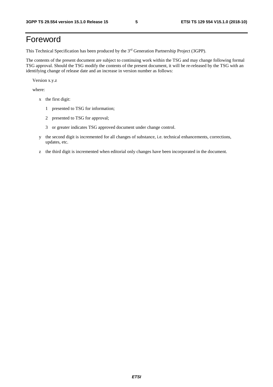## Foreword

This Technical Specification has been produced by the 3rd Generation Partnership Project (3GPP).

The contents of the present document are subject to continuing work within the TSG and may change following formal TSG approval. Should the TSG modify the contents of the present document, it will be re-released by the TSG with an identifying change of release date and an increase in version number as follows:

Version x.y.z

where:

- x the first digit:
	- 1 presented to TSG for information;
	- 2 presented to TSG for approval;
	- 3 or greater indicates TSG approved document under change control.
- y the second digit is incremented for all changes of substance, i.e. technical enhancements, corrections, updates, etc.
- z the third digit is incremented when editorial only changes have been incorporated in the document.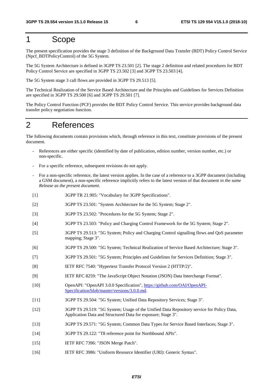### 1 Scope

The present specification provides the stage 3 definition of the Background Data Transfer (BDT) Policy Control Service (Npcf\_BDTPolicyControl) of the 5G System.

The 5G System Architecture is defined in 3GPP TS 23.501 [2]. The stage 2 definition and related procedures for BDT Policy Control Service are specified in 3GPP TS 23.502 [3] and 3GPP TS 23.503 [4].

The 5G System stage 3 call flows are provided in 3GPP TS 29.513 [5].

The Technical Realization of the Service Based Architecture and the Principles and Guidelines for Services Definition are specified in 3GPP TS 29.500 [6] and 3GPP TS 29.501 [7].

The Policy Control Function (PCF) provides the BDT Policy Control Service. This service provides background data transfer policy negotiation function.

## 2 References

The following documents contain provisions which, through reference in this text, constitute provisions of the present document.

- References are either specific (identified by date of publication, edition number, version number, etc.) or non-specific.
- For a specific reference, subsequent revisions do not apply.
- For a non-specific reference, the latest version applies. In the case of a reference to a 3GPP document (including a GSM document), a non-specific reference implicitly refers to the latest version of that document *in the same Release as the present document*.
- [1] 3GPP TR 21.905: "Vocabulary for 3GPP Specifications".
- [2] 3GPP TS 23.501: "System Architecture for the 5G System; Stage 2".
- [3] 3GPP TS 23.502: "Procedures for the 5G System; Stage 2".
- [4] 3GPP TS 23.503: "Policy and Charging Control Framework for the 5G System; Stage 2".
- [5] 3GPP TS 29.513: "5G System; Policy and Charging Control signalling flows and QoS parameter mapping; Stage 3".
- [6] 3GPP TS 29.500: "5G System; Technical Realization of Service Based Architecture; Stage 3".
- [7] 3GPP TS 29.501: "5G System; Principles and Guidelines for Services Definition; Stage 3".
- [8] IETF RFC 7540: "Hypertext Transfer Protocol Version 2 (HTTP/2)".
- [9] IETF RFC 8259: "The JavaScript Object Notation (JSON) Data Interchange Format".
- [10] OpenAPI: "OpenAPI 3.0.0 Specification", [https://github.com/OAI/OpenAPI](https://github.com/OAI/OpenAPI-Specification/blob/master/versions/3.0.0.md)-[Specification/blob/master/versions/3.0.0.md](https://github.com/OAI/OpenAPI-Specification/blob/master/versions/3.0.0.md).
- [11] 3GPP TS 29.504: "5G System; Unified Data Repository Services; Stage 3".
- [12] 3GPP TS 29.519: "5G System; Usage of the Unified Data Repository service for Policy Data, Application Data and Structured Data for exposure; Stage 3".
- [13] 3GPP TS 29.571: "5G System; Common Data Types for Service Based Interfaces; Stage 3".
- [14] 3GPP TS 29.122: "T8 reference point for Northbound APIs".
- [15] IETF RFC 7396: "JSON Merge Patch".
- [16] IETF RFC 3986: "Uniform Resource Identifier (URI): Generic Syntax".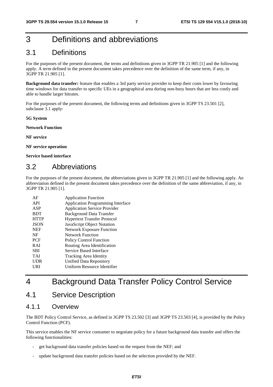## 3 Definitions and abbreviations

### 3.1 Definitions

For the purposes of the present document, the terms and definitions given in 3GPP TR 21.905 [1] and the following apply. A term defined in the present document takes precedence over the definition of the same term, if any, in 3GPP TR 21.905 [1].

**Background data transfer:** feature that enables a 3rd party service provider to keep their costs lower by favouring time windows for data transfer to specific UEs in a geographical area during non-busy hours that are less costly and able to handle larger bitrates.

For the purposes of the present document, the following terms and definitions given in 3GPP TS 23.501 [2], subclause 3.1 apply:

**5G System** 

**Network Function** 

**NF service** 

**NF service operation** 

**Service based interface** 

### 3.2 Abbreviations

For the purposes of the present document, the abbreviations given in 3GPP TR 21.905 [1] and the following apply. An abbreviation defined in the present document takes precedence over the definition of the same abbreviation, if any, in 3GPP TR 21.905 [1].

| AF          | <b>Application Function</b>              |
|-------------|------------------------------------------|
| API         | <b>Application Programming Interface</b> |
| ASP         | <b>Application Service Provider</b>      |
| <b>BDT</b>  | Background Data Transfer                 |
| <b>HTTP</b> | <b>Hypertext Transfer Protocol</b>       |
| <b>JSON</b> | JavaScript Object Notation               |
| <b>NEF</b>  | <b>Network Exposure Function</b>         |
| NF          | <b>Network Function</b>                  |
| PCF         | <b>Policy Control Function</b>           |
| <b>RAI</b>  | Routing Area Identification              |
| <b>SBI</b>  | Service Based Interface                  |
| <b>TAI</b>  | Tracking Area Identity                   |
| <b>UDR</b>  | Unified Data Repository                  |
| URI         | Uniform Resource Identifier              |
|             |                                          |

## 4 Background Data Transfer Policy Control Service

### 4.1 Service Description

### 4.1.1 Overview

The BDT Policy Control Service, as defined in 3GPP TS 23.502 [3] and 3GPP TS 23.503 [4], is provided by the Policy Control Function (PCF).

This service enables the NF service consumer to negotiate policy for a future background data transfer and offers the following functionalities:

- get background data transfer policies based on the request from the NEF; and
- update background data transfer policies based on the selection provided by the NEF.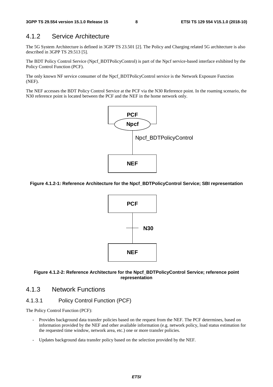### 4.1.2 Service Architecture

The 5G System Architecture is defined in 3GPP TS 23.501 [2]. The Policy and Charging related 5G architecture is also described in 3GPP TS 29.513 [5].

The BDT Policy Control Service (Npcf\_BDTPolicyControl) is part of the Npcf service-based interface exhibited by the Policy Control Function (PCF).

The only known NF service consumer of the Npcf\_BDTPolicyControl service is the Network Exposure Function (NEF).

The NEF accesses the BDT Policy Control Service at the PCF via the N30 Reference point. In the roaming scenario, the N30 reference point is located between the PCF and the NEF in the home network only.



#### **Figure 4.1.2-1: Reference Architecture for the Npcf\_BDTPolicyControl Service; SBI representation**



#### **Figure 4.1.2-2: Reference Architecture for the Npcf\_BDTPolicyControl Service; reference point representation**

### 4.1.3 Network Functions

### 4.1.3.1 Policy Control Function (PCF)

The Policy Control Function (PCF):

- Provides background data transfer policies based on the request from the NEF. The PCF determines, based on information provided by the NEF and other available information (e.g. network policy, load status estimation for the requested time window, network area, etc.) one or more transfer policies.
- Updates background data transfer policy based on the selection provided by the NEF.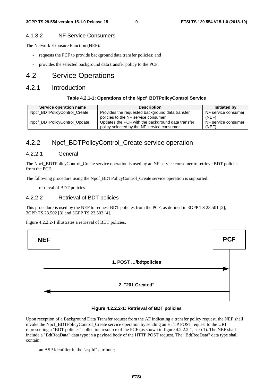### 4.1.3.2 NF Service Consumers

The Network Exposure Function (NEF):

- requests the PCF to provide background data transfer policies; and
- provides the selected background data transfer policy to the PCF.

### 4.2 Service Operations

### 4.2.1 Introduction

#### **Table 4.2.1-1: Operations of the Npcf\_BDTPolicyControl Service**

| Service operation name       | <b>Description</b>                                | Initiated by        |
|------------------------------|---------------------------------------------------|---------------------|
| Npcf_BDTPolicyControl_Create | Provides the requested background data transfer   | NF service consumer |
|                              | policies to the NF service consumer.              | (NEF)               |
| Npcf_BDTPolicyControl_Update | Updates the PCF with the background data transfer | NF service consumer |
|                              | policy selected by the NF service consumer.       | (NEF)               |

### 4.2.2 Npcf BDTPolicyControl Create service operation

### 4.2.2.1 General

The Npcf\_BDTPolicyControl\_Create service operation is used by an NF service consumer to retrieve BDT policies from the PCF.

The following procedure using the Npcf\_BDTPolicyControl\_Create service operation is supported:

- retrieval of BDT policies.

### 4.2.2.2 Retrieval of BDT policies

This procedure is used by the NEF to request BDT policies from the PCF, as defined in 3GPP TS 23.501 [2], 3GPP TS 23.502 [3] and 3GPP TS 23.503 [4].

Figure 4.2.2.2-1 illustrates a retrieval of BDT policies.



#### **Figure 4.2.2.2-1: Retrieval of BDT policies**

Upon reception of a Background Data Transfer request from the AF indicating a transfer policy request, the NEF shall invoke the Npcf\_BDTPolicyControl\_Create service operation by sending an HTTP POST request to the URI representing a "BDT policies" collection resource of the PCF (as shown in figure 4.2.2.2-1, step 1). The NEF shall include a "BdtReqData" data type in a payload body of the HTTP POST request. The "BdtReqData" data type shall contain:

- an ASP identifier in the "aspId" attribute;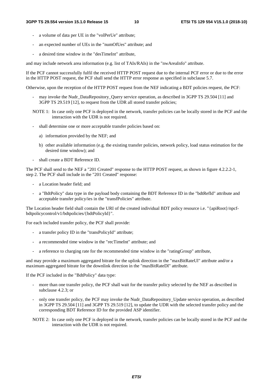- a volume of data per UE in the "volPerUe" attribute:
- an expected number of UEs in the "numOfUes" attribute; and
- a desired time window in the "desTimeInt" attribute,

and may include network area information (e.g. list of TAIs/RAIs) in the "nwAreaInfo" attribute.

If the PCF cannot successfully fulfil the received HTTP POST request due to the internal PCF error or due to the error in the HTTP POST request, the PCF shall send the HTTP error response as specified in subclause 5.7.

Otherwise, upon the reception of the HTTP POST request from the NEF indicating a BDT policies request, the PCF:

- may invoke the Nudr\_DataRepository\_Query service operation, as described in 3GPP TS 29.504 [11] and 3GPP TS 29.519 [12], to request from the UDR all stored transfer policies;
- NOTE 1: In case only one PCF is deployed in the network, transfer policies can be locally stored in the PCF and the interaction with the UDR is not required.
- shall determine one or more acceptable transfer policies based on:
	- a) information provided by the NEF; and
	- b) other available information (e.g. the existing transfer policies, network policy, load status estimation for the desired time window); and
- shall create a BDT Reference ID.

The PCF shall send to the NEF a "201 Created" response to the HTTP POST request, as shown in figure 4.2.2.2-1, step 2. The PCF shall include in the "201 Created" response:

- a Location header field; and
- a "BdtPolicy" data type in the payload body containing the BDT Reference ID in the "bdtRefId" attribute and acceptable transfer policy/ies in the "transfPolicies" attribute.

The Location header field shall contain the URI of the created individual BDT policy resource i.e. "{apiRoot}/npcfbdtpolicycontrol/v1/bdtpolicies/{bdtPolicyId}".

For each included transfer policy, the PCF shall provide:

- a transfer policy ID in the "transPolicyId" attribute;
- a recommended time window in the "recTimeInt" attribute; and
- a reference to charging rate for the recommended time window in the "ratingGroup" attribute,

and may provide a maximum aggregated bitrate for the uplink direction in the "maxBitRateUl" attribute and/or a maximum aggregated bitrate for the downlink direction in the "maxBitRateDl" attribute.

If the PCF included in the "BdtPolicy" data type:

- more than one transfer policy, the PCF shall wait for the transfer policy selected by the NEF as described in subclause 4.2.3; or
- only one transfer policy, the PCF may invoke the Nudr\_DataRepository\_Update service operation, as described in 3GPP TS 29.504 [11] and 3GPP TS 29.519 [12], to update the UDR with the selected transfer policy and the corresponding BDT Reference ID for the provided ASP identifier.
- NOTE 2: In case only one PCF is deployed in the network, transfer policies can be locally stored in the PCF and the interaction with the UDR is not required.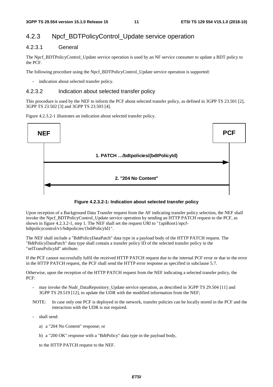### 4.2.3 Npcf\_BDTPolicyControl\_Update service operation

### 4.2.3.1 General

The Npcf\_BDTPolicyControl\_Update service operation is used by an NF service consumer to update a BDT policy to the PCF.

The following procedure using the Npcf\_BDTPolicyControl\_Update service operation is supported:

indication about selected transfer policy.

### 4.2.3.2 Indication about selected transfer policy

This procedure is used by the NEF to inform the PCF about selected transfer policy, as defined in 3GPP TS 23.501 [2], 3GPP TS 23.502 [3] and 3GPP TS 23.503 [4].

Figure 4.2.3.2-1 illustrates an indication about selected transfer policy.





Upon reception of a Background Data Transfer request from the AF indicating transfer policy selection, the NEF shall invoke the Npcf\_BDTPolicyControl\_Update service operation by sending an HTTP PATCH request to the PCF, as shown in figure 4.2.3.2-1, step 1. The NEF shall set the request URI to "{apiRoot}/npcfbdtpolicycontrol/v1/bdtpolicies/{bdtPolicyId}".

The NEF shall include a "BdtPolicyDataPatch" data type in a payload body of the HTTP PATCH request. The "BdtPolicyDataPatch" data type shall contain a transfer policy ID of the selected transfer policy in the "selTransPolicyId" attribute.

If the PCF cannot successfully fulfil the received HTTP PATCH request due to the internal PCF error or due to the error in the HTTP PATCH request, the PCF shall send the HTTP error response as specified in subclause 5.7.

Otherwise, upon the reception of the HTTP PATCH request from the NEF indicating a selected transfer policy, the PCF:

- may invoke the Nudr DataRepository Update service operation, as described in 3GPP TS 29.504 [11] and 3GPP TS 29.519 [12], to update the UDR with the modified information from the NEF;
- NOTE: In case only one PCF is deployed in the network, transfer policies can be locally stored in the PCF and the interaction with the UDR is not required.
- shall send:
	- a) a "204 No Content" response; or
	- b) a "200 OK" response with a "BdtPolicy" data type in the payload body,

to the HTTP PATCH request to the NEF.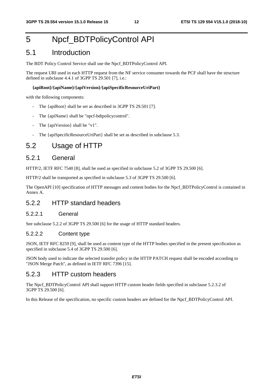## 5 Npcf\_BDTPolicyControl API

### 5.1 Introduction

The BDT Policy Control Service shall use the Npcf\_BDTPolicyControl API.

The request URI used in each HTTP request from the NF service consumer towards the PCF shall have the structure defined in subclause 4.4.1 of 3GPP TS 29.501 [7], i.e.:

#### **{apiRoot}/{apiName}/{apiVersion}/{apiSpecificResourceUriPart}**

with the following components:

- The {apiRoot} shall be set as described in 3GPP TS 29.501 [7].
- The {apiName} shall be "npcf-bdtpolicycontrol".
- The {apiVersion} shall be "v1".
- The {apiSpecificResourceUriPart} shall be set as described in subclause 5.3.

### 5.2 Usage of HTTP

### 5.2.1 General

HTTP/2, IETF RFC 7540 [8], shall be used as specified in subclause 5.2 of 3GPP TS 29.500 [6].

HTTP/2 shall be transported as specified in subclause 5.3 of 3GPP TS 29.500 [6].

The OpenAPI [10] specification of HTTP messages and content bodies for the Npcf\_BDTPolicyControl is contained in Annex A.

### 5.2.2 HTTP standard headers

### 5.2.2.1 General

See subclause 5.2.2 of 3GPP TS 29.500 [6] for the usage of HTTP standard headers.

#### 5.2.2.2 Content type

JSON, IETF RFC 8259 [9], shall be used as content type of the HTTP bodies specified in the present specification as specified in subclause 5.4 of 3GPP TS 29.500 [6].

JSON body used to indicate the selected transfer policy in the HTTP PATCH request shall be encoded according to "JSON Merge Patch", as defined in IETF RFC 7396 [15].

### 5.2.3 HTTP custom headers

The Npcf\_BDTPolicyControl API shall support HTTP custom header fields specified in subclause 5.2.3.2 of 3GPP TS 29.500 [6].

In this Release of the specification, no specific custom headers are defined for the Npcf\_BDTPolicyControl API.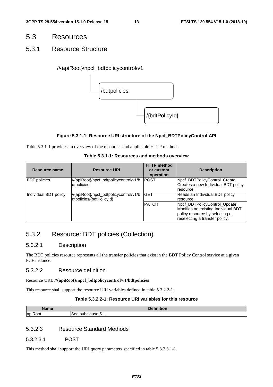### 5.3 Resources

### 5.3.1 Resource Structure

### //{apiRoot}/npcf\_bdtpolicycontrol/v1



### **Figure 5.3.1-1: Resource URI structure of the Npcf\_BDTPolicyControl API**

Table 5.3.1-1 provides an overview of the resources and applicable HTTP methods.

| Table 5.3.1-1: Resources and methods overview |  |
|-----------------------------------------------|--|
|-----------------------------------------------|--|

| Resource name         | <b>Resource URI</b>                                                 | <b>HTTP method</b><br>or custom<br>operation | <b>Description</b>                                                                                                                        |
|-----------------------|---------------------------------------------------------------------|----------------------------------------------|-------------------------------------------------------------------------------------------------------------------------------------------|
| <b>BDT</b> policies   | //{apiRoot}/npcf_bdtpolicycontrol/v1/b<br>dtpolicies                | IPOST                                        | Npcf_BDTPolicyControl_Create.<br>Creates a new Individual BDT policy<br>resource.                                                         |
| Individual BDT policy | ///{apiRoot}/npcf_bdtpolicycontrol/v1/b<br>dtpolicies/{bdtPolicyId} | <b>GET</b>                                   | Reads an Individual BDT policy<br>resource.                                                                                               |
|                       |                                                                     | <b>PATCH</b>                                 | Npcf_BDTPolicyControl_Update.<br>Modifies an existing Individual BDT<br>policy resource by selecting or<br>reselecting a transfer policy. |

### 5.3.2 Resource: BDT policies (Collection)

### 5.3.2.1 Description

The BDT policies resource represents all the transfer policies that exist in the BDT Policy Control service at a given PCF instance.

### 5.3.2.2 Resource definition

#### Resource URI: **//{apiRoot}/npcf\_bdtpolicycontrol/v1/bdtpolicies**

This resource shall support the resource URI variables defined in table 5.3.2.2-1.

### **Table 5.3.2.2-1: Resource URI variables for this resource**

| Name               | .<br>Dafi.<br>. .     |
|--------------------|-----------------------|
| .<br>lapil<br>יוטט | ം subclause <b>b.</b> |

### 5.3.2.3 Resource Standard Methods

### 5.3.2.3.1 POST

This method shall support the URI query parameters specified in table 5.3.2.3.1-1.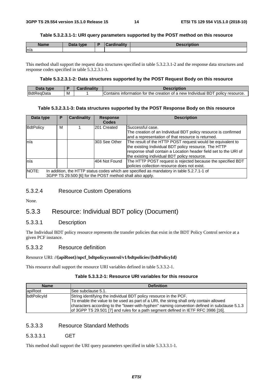#### **Table 5.3.2.3.1-1: URI query parameters supported by the POST method on this resource**

| <b>Name</b><br>Data type |  | <b>Cardinality</b> | <b>Description</b> |  |
|--------------------------|--|--------------------|--------------------|--|
| n/a                      |  |                    |                    |  |

This method shall support the request data structures specified in table 5.3.2.3.1-2 and the response data structures and response codes specified in table 5.3.2.3.1-3.

#### **Table 5.3.2.3.1-2: Data structures supported by the POST Request Body on this resource**

| Jata<br>tvne |   |                                                                                                      |
|--------------|---|------------------------------------------------------------------------------------------------------|
| <b>BdtF</b>  | М | policy resource.<br>creation<br>BD<br>intormation<br>tor<br>IContains<br>the<br>⊦of a new Individual |

#### **Table 5.3.2.3.1-3: Data structures supported by the POST Response Body on this resource**

| Data type                                                                                                                                                      | Р | <b>Cardinality</b> | <b>Response</b><br><b>Codes</b> | <b>Description</b>                                                                                                                                                                                                                      |  |  |
|----------------------------------------------------------------------------------------------------------------------------------------------------------------|---|--------------------|---------------------------------|-----------------------------------------------------------------------------------------------------------------------------------------------------------------------------------------------------------------------------------------|--|--|
| <b>BdtPolicy</b>                                                                                                                                               | м |                    | 201 Created                     | Successful case.<br>The creation of an Individual BDT policy resource is confirmed<br>and a representation of that resource is returned.                                                                                                |  |  |
| ln/a                                                                                                                                                           |   |                    | 303 See Other                   | The result of the HTTP POST request would be equivalent to<br>the existing Individual BDT policy resource. The HTTP<br>response shall contain a Location header field set to the URI of<br>the existing individual BDT policy resource. |  |  |
| n/a                                                                                                                                                            |   |                    | 404 Not Found                   | The HTTP POST request is rejected because the specified BDT<br>policies collection resource does not exist.                                                                                                                             |  |  |
| NOTE:<br>In addition, the HTTP status codes which are specified as mandatory in table 5.2.7.1-1 of<br>3GPP TS 29.500 [6] for the POST method shall also apply. |   |                    |                                 |                                                                                                                                                                                                                                         |  |  |

### 5.3.2.4 Resource Custom Operations

None.

### 5.3.3 Resource: Individual BDT policy (Document)

#### 5.3.3.1 Description

The Individual BDT policy resource represents the transfer policies that exist in the BDT Policy Control service at a given PCF instance.

#### 5.3.3.2 Resource definition

#### Resource URI: **//{apiRoot}/npcf\_bdtpolicycontrol/v1/bdtpolicies/{bdtPolicyId}**

This resource shall support the resource URI variables defined in table 5.3.3.2-1.

### **Table 5.3.3.2-1: Resource URI variables for this resource**

| <b>Name</b> | <b>Definition</b>                                                                            |  |  |  |  |  |
|-------------|----------------------------------------------------------------------------------------------|--|--|--|--|--|
| apiRoot     | See subclause 5.1.                                                                           |  |  |  |  |  |
| bdtPolicyId | String identifying the individual BDT policy resource in the PCF.                            |  |  |  |  |  |
|             | To enable the value to be used as part of a URI, the string shall only contain allowed       |  |  |  |  |  |
|             | characters according to the "lower-with-hyphen" naming convention defined in subclause 5.1.3 |  |  |  |  |  |
|             | of 3GPP TS 29.501 [7] and rules for a path segment defined in IETF RFC 3986 [16].            |  |  |  |  |  |

### 5.3.3.3 Resource Standard Methods

#### 5.3.3.3.1 GET

This method shall support the URI query parameters specified in table 5.3.3.3.1-1.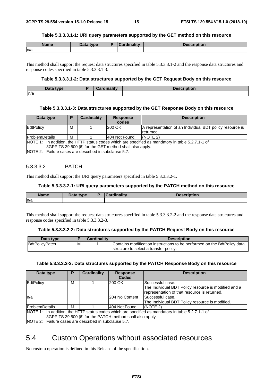#### **Table 5.3.3.3.1-1: URI query parameters supported by the GET method on this resource**

| <b>Name</b> | Data type | <b>Cardinality</b> | <b>Description</b> |
|-------------|-----------|--------------------|--------------------|
| n/a         |           |                    |                    |

This method shall support the request data structures specified in table 5.3.3.3.1-2 and the response data structures and response codes specified in table 5.3.3.3.1-3.

#### **Table 5.3.3.3.1-2: Data structures supported by the GET Request Body on this resource**

| <b>Pata type</b><br>Dala | $\sim 10$ and $\sim 10$ and $\sim$<br><b>The Made</b> | поп |
|--------------------------|-------------------------------------------------------|-----|
| n/a                      |                                                       |     |

### **Table 5.3.3.3.1-3: Data structures supported by the GET Response Body on this resource**

| Data type                                             | D                                                                                                 | <b>Cardinality</b> | <b>Response</b> | <b>Description</b>                                       |  |  |  |
|-------------------------------------------------------|---------------------------------------------------------------------------------------------------|--------------------|-----------------|----------------------------------------------------------|--|--|--|
|                                                       |                                                                                                   |                    | codes           |                                                          |  |  |  |
| BdtPolicy                                             | м                                                                                                 |                    | 200 OK          | A representation of an Individual BDT policy resource is |  |  |  |
|                                                       |                                                                                                   |                    |                 | returned.                                                |  |  |  |
| <b>ProblemDetails</b><br>м                            |                                                                                                   | l404 Not Found     | (NOTE 2)        |                                                          |  |  |  |
|                                                       | NOTE 1: In addition, the HTTP status codes which are specified as mandatory in table 5.2.7.1-1 of |                    |                 |                                                          |  |  |  |
|                                                       | 3GPP TS 29.500 [6] for the GET method shall also apply.                                           |                    |                 |                                                          |  |  |  |
| NOTE 2: Failure cases are described in subclause 5.7. |                                                                                                   |                    |                 |                                                          |  |  |  |

### 5.3.3.3.2 PATCH

This method shall support the URI query parameters specified in table 5.3.3.3.2-1.

#### **Table 5.3.3.3.2-1: URI query parameters supported by the PATCH method on this resource**

| <b>Name</b> | <b>Data type</b><br>Dald | <b>Cardinality</b> | Description |
|-------------|--------------------------|--------------------|-------------|
| n/a         |                          |                    |             |

This method shall support the request data structures specified in table 5.3.3.3.2-2 and the response data structures and response codes specified in table 5.3.3.3.2-3.

#### **Table 5.3.3.3.2-2: Data structures supported by the PATCH Request Body on this resource**

| Data type      |   | Cardinality | <b>Description</b>                                                       |
|----------------|---|-------------|--------------------------------------------------------------------------|
| BdtPolicyPatch | M |             | Contains modification instructions to be performed on the BdtPolicy data |
|                |   |             | structure to select a transfer policy.                                   |

#### **Table 5.3.3.3.2-3: Data structures supported by the PATCH Response Body on this resource**

| Data type                                             |                                                                                                   | <b>Cardinality</b> | <b>Response</b> | <b>Description</b>                                   |  |  |  |
|-------------------------------------------------------|---------------------------------------------------------------------------------------------------|--------------------|-----------------|------------------------------------------------------|--|--|--|
|                                                       |                                                                                                   |                    | <b>Codes</b>    |                                                      |  |  |  |
| BdtPolicy                                             | М                                                                                                 |                    | 200 OK          | Successful case.                                     |  |  |  |
|                                                       |                                                                                                   |                    |                 | The Individual BDT Policy resource is modified and a |  |  |  |
|                                                       |                                                                                                   |                    |                 | representation of that resource is returned.         |  |  |  |
| n/a                                                   |                                                                                                   |                    | I204 No Content | lSuccessful case.                                    |  |  |  |
|                                                       |                                                                                                   |                    |                 | The Individual BDT Policy resource is modified.      |  |  |  |
| <b>ProblemDetails</b>                                 | м                                                                                                 |                    | 404 Not Found   | (NOTE 2)                                             |  |  |  |
|                                                       | NOTE 1: In addition, the HTTP status codes which are specified as mandatory in table 5.2.7.1-1 of |                    |                 |                                                      |  |  |  |
|                                                       | 3GPP TS 29.500 [6] for the PATCH method shall also apply.                                         |                    |                 |                                                      |  |  |  |
| NOTE 2: Failure cases are described in subclause 5.7. |                                                                                                   |                    |                 |                                                      |  |  |  |

### 5.4 Custom Operations without associated resources

No custom operation is defined in this Release of the specification.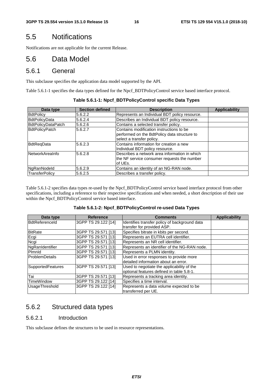### 5.5 Notifications

Notifications are not applicable for the current Release.

### 5.6 Data Model

### 5.6.1 General

This subclause specifies the application data model supported by the API.

Table 5.6.1-1 specifies the data types defined for the Npcf\_BDTPolicyControl service based interface protocol.

| Data type             | <b>Section defined</b> | <b>Description</b>                                                                                                    | <b>Applicability</b> |
|-----------------------|------------------------|-----------------------------------------------------------------------------------------------------------------------|----------------------|
| <b>BdtPolicy</b>      | 5.6.2.2                | Represents an Individual BDT policy resource.                                                                         |                      |
| <b>BdtPolicyData</b>  | 5.6.2.4                | Describes an Individual BDT policy resource.                                                                          |                      |
| BdtPolicyDataPatch    | 5.6.2.6                | Contains a selected transfer policy.                                                                                  |                      |
| <b>BdtPolicyPatch</b> | 5.6.2.7                | Contains modification instructions to be<br>performed on the BdtPolicy data structure to<br>select a transfer policy. |                      |
| <b>BdtRegData</b>     | 5.6.2.3                | Contains information for creation a new<br>Individual BDT policy resource.                                            |                      |
| NetworkAreaInfo       | 5.6.2.8                | Describes a network area information in which<br>the NF service consumer requests the number<br>of UEs.               |                      |
| NgRanNodeld           | 5.6.2.9                | Contains an identity of an NG-RAN node.                                                                               |                      |
| <b>TransferPolicv</b> | 5.6.2.5                | Describes a transfer policy.                                                                                          |                      |

**Table 5.6.1-1: Npcf\_BDTPolicyControl specific Data Types** 

Table 5.6.1-2 specifies data types re-used by the Npcf\_BDTPolicyControl service based interface protocol from other specifications, including a reference to their respective specifications and when needed, a short description of their use within the Npcf\_BDTPolicyControl service based interface.

#### **Table 5.6.1-2: Npcf\_BDTPolicyControl re-used Data Types**

| Data type             | <b>Reference</b>    | <b>Comments</b>                                                             | <b>Applicability</b> |
|-----------------------|---------------------|-----------------------------------------------------------------------------|----------------------|
| BdtReferenceld        | 3GPP TS 29.122 [14] | Identifies transfer policy of background data<br>transfer for provided ASP. |                      |
| <b>BitRate</b>        | 3GPP TS 29.571 [13] | Specifies bitrate in kbits per second.                                      |                      |
| Ecgi                  | 3GPP TS 29.571 [13] | Represents an EUTRA cell identifier.                                        |                      |
| Ncgi                  | 3GPP TS 29.571 [13] | Represents an NR cell identifier.                                           |                      |
| NgRanIdentifier       | 3GPP TS 29.571 [13] | Represents an identifier of the NG-RAN node.                                |                      |
| Pimnid                | 3GPP TS 29.571 [13] | Represents a PLMN identity.                                                 |                      |
| <b>ProblemDetails</b> | 3GPP TS 29.571 [13] | Used in error responses to provide more                                     |                      |
|                       |                     | detailed information about an error.                                        |                      |
| SupportedFeatures     | 3GPP TS 29.571 [13] | Used to negotiate the applicability of the                                  |                      |
|                       |                     | optional features defined in table 5.8-1.                                   |                      |
| Tai                   | 3GPP TS 29.571 [13] | Represents a tracking area identity.                                        |                      |
| TimeWindow            | 3GPP TS 29.122 [14] | Specifies a time interval.                                                  |                      |
| <b>UsageThreshold</b> | 3GPP TS 29.122 [14] | Represents a data volume expected to be                                     |                      |
|                       |                     | transferred per UE.                                                         |                      |

### 5.6.2 Structured data types

### 5.6.2.1 Introduction

This subclause defines the structures to be used in resource representations.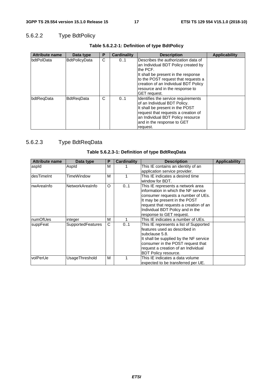### 5.6.2.2 Type BdtPolicy

| <b>Attribute name</b> | Data type            | Ρ | <b>Cardinality</b> | <b>Description</b>                                                                                                                                                                                                                                                      | <b>Applicability</b> |
|-----------------------|----------------------|---|--------------------|-------------------------------------------------------------------------------------------------------------------------------------------------------------------------------------------------------------------------------------------------------------------------|----------------------|
| <b>IbdtPolData</b>    | <b>BdtPolicyData</b> | C | 01                 | Describes the authorization data of<br>an Individual BDT Policy created by<br>the PCF.<br>It shall be present in the response<br>to the POST request that requests a<br>creation of an Individual BDT Policy<br>resource and in the response to<br><b>IGET</b> request. |                      |
| bdtRegData            | <b>BdtRegData</b>    | С | 01                 | Identifies the service requirements<br>of an Individual BDT Policy.<br>It shall be present in the POST<br>request that requests a creation of<br>an Individual BDT Policy resource<br>and in the response to GET<br>request.                                            |                      |

### **Table 5.6.2.2-1: Definition of type BdtPolicy**

### 5.6.2.3 Type BdtReqData

| <b>Attribute name</b> | Data type                | Ρ | Cardinality | <b>Description</b>                     | <b>Applicability</b> |
|-----------------------|--------------------------|---|-------------|----------------------------------------|----------------------|
| aspid                 | Aspld                    | м |             | This IE contains an identity of an     |                      |
|                       |                          |   |             | application service provider.          |                      |
| IdesTimeInt           | TimeWindow               | м |             | This IE indicates a desired time       |                      |
|                       |                          |   |             | window for BDT.                        |                      |
| InwAreaInfo           | NetworkAreaInfo          | O | 01          | This IE represents a network area      |                      |
|                       |                          |   |             | information in which the NF service    |                      |
|                       |                          |   |             | consumer requests a number of UEs.     |                      |
|                       |                          |   |             | It may be present in the POST          |                      |
|                       |                          |   |             | request that requests a creation of an |                      |
|                       |                          |   |             | Individual BDT Policy and in the       |                      |
|                       |                          |   |             | response to GET request.               |                      |
| numOfUes              | integer                  | м |             | This IE indicates a number of UEs.     |                      |
| suppFeat              | <b>SupportedFeatures</b> | C | 0.1         | This IE represents a list of Supported |                      |
|                       |                          |   |             | features used as described in          |                      |
|                       |                          |   |             | subclause 5.8.                         |                      |
|                       |                          |   |             | It shall be supplied by the NF service |                      |
|                       |                          |   |             | consumer in the POST request that      |                      |
|                       |                          |   |             | request a creation of an Individual    |                      |
|                       |                          |   |             | BDT Policy resource.                   |                      |
| <b>volPerUe</b>       | UsageThreshold           | м |             | This IE indicates a data volume        |                      |
|                       |                          |   |             | expected to be transferred per UE.     |                      |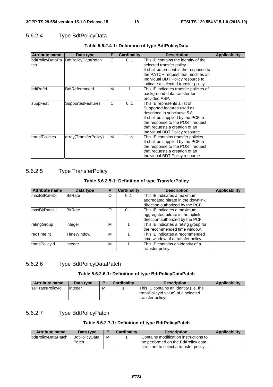### 5.6.2.4 Type BdtPolicyData

| <b>Attribute name</b> | Data type                          | P | <b>Cardinality</b> | <b>Description</b>                                                                                                                                                                                                                       | <b>Applicability</b> |
|-----------------------|------------------------------------|---|--------------------|------------------------------------------------------------------------------------------------------------------------------------------------------------------------------------------------------------------------------------------|----------------------|
| ltch.                 | bdtPolicyDataPa BdtPolicyDataPatch | C | 01                 | This IE contains the identity of the<br>selected transfer policy.<br>It shall be present in the response to<br>the PATCH request that modifies an<br>Individual BDT Policy resource to<br>indicate a selected transfer policy.           |                      |
| bdtRefld              | <b>BdtReferenceId</b>              | м |                    | This IE indicates transfer policies of<br>background data transfer for<br>provided ASP.                                                                                                                                                  |                      |
| suppFeat              | <b>SupportedFeatures</b>           | C | 01                 | This IE represents a list of<br>Supported features used as<br>described in subclause 5.8.<br>It shall be supplied by the PCF in<br>the response to the POST request<br>that requests a creation of an<br>Individual BDT Policy resource. |                      |
| transfPolicies        | array(TransferPolicy)              | М | 1N                 | This IE contains transfer policies.<br>It shall be supplied by the PCF in<br>the response to the POST request<br>that requests a creation of an<br>Individual BDT Policy resource.                                                       |                      |

### **Table 5.6.2.4-1: Definition of type BdtPolicyData**

### 5.6.2.5 Type TransferPolicy

### **Table 5.6.2.5-1: Definition of type TransferPolicy**

| <b>Attribute name</b> | Data type      | D | <b>Cardinality</b> | <b>Description</b>                   | <b>Applicability</b> |
|-----------------------|----------------|---|--------------------|--------------------------------------|----------------------|
| ImaxBitRateDI         | <b>BitRate</b> | O | 0.1                | This IE indicates a maximum          |                      |
|                       |                |   |                    | aggregated bitrate in the downlink   |                      |
|                       |                |   |                    | direction authorized by the PCF.     |                      |
| ImaxBitRateUl         | <b>BitRate</b> | O | 0.1                | This IE indicates a maximum          |                      |
|                       |                |   |                    | aggregated bitrate in the uplink     |                      |
|                       |                |   |                    | direction authorized by the PCF.     |                      |
| ratingGroup           | integer        | М |                    | This IE indicates a rating group for |                      |
|                       |                |   |                    | the recommended time window.         |                      |
| recTimeInt            | TimeWindow     | М |                    | This IE indicates a recommended      |                      |
|                       |                |   |                    | time window of a transfer policy.    |                      |
| transPolicyId         | integer        | M |                    | This IE contains an identity of a    |                      |
|                       |                |   |                    | transfer policy.                     |                      |

### 5.6.2.6 Type BdtPolicyDataPatch

### **Table 5.6.2.6-1: Definition of type BdtPolicyDataPatch**

| <b>Attribute name</b> | Data type |   | <b>Cardinality</b> | <b>Description</b>                                                                               | <b>Applicability</b> |
|-----------------------|-----------|---|--------------------|--------------------------------------------------------------------------------------------------|----------------------|
| selTransPolicyId      | linteger  | М |                    | This IE contains an identity (i.e. the<br>transPolicyId value) of a selected<br>transfer policy. |                      |

### 5.6.2.7 Type BdtPolicyPatch

### **Table 5.6.2.7-1: Definition of type BdtPolicyPatch**

| Attribute name     | Data type                     |   | <b>Cardinality</b> | <b>Description</b>                                                                                                    | <b>Applicability</b> |
|--------------------|-------------------------------|---|--------------------|-----------------------------------------------------------------------------------------------------------------------|----------------------|
| bdtPolicyDataPatch | <b>BdtPolicvData</b><br>Patch | м |                    | Contains modification instructions to<br>be performed on the BdtPolicy data<br>structure to select a transfer policy. |                      |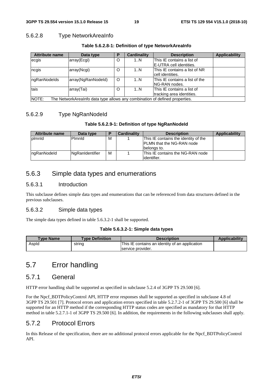### 5.6.2.8 Type NetworkAreaInfo

|  | Table 5.6.2.8-1: Definition of type NetworkArealnfo |
|--|-----------------------------------------------------|
|  |                                                     |

| <b>Attribute name</b>                                                                | Data type          | Р       | <b>Cardinality</b> | <b>Description</b>             | <b>Applicability</b> |
|--------------------------------------------------------------------------------------|--------------------|---------|--------------------|--------------------------------|----------------------|
| ecgis                                                                                | array(Ecgi)        | O       | 1N                 | This IE contains a list of     |                      |
|                                                                                      |                    |         |                    | IE-UTRA cell identities.       |                      |
| ncgis                                                                                | array(Ncgi)        | O       | 1N                 | This IE contains a list of NR  |                      |
|                                                                                      |                    |         |                    | cell identities.               |                      |
| ngRanNodelds                                                                         | array(NgRanNodeld) | $\circ$ | 1N                 | This IE contains a list of the |                      |
|                                                                                      |                    |         |                    | ING-RAN nodes.                 |                      |
| tais                                                                                 | array(Tai)         | O       | 1N                 | This IE contains a list of     |                      |
|                                                                                      |                    |         |                    | tracking area identities.      |                      |
| NOTE:<br>The NetworkArealnfo data type allows any combination of defined properties. |                    |         |                    |                                |                      |

### 5.6.2.9 Type NgRanNodeId

### **Table 5.6.2.9-1: Definition of type NgRanNodeId**

| <b>Attribute name</b> | Data type       | D | <b>Cardinality</b> | <b>Description</b>                   | Applicability |
|-----------------------|-----------------|---|--------------------|--------------------------------------|---------------|
| plmnld                | Plmnld          | M |                    | This IE contains the identity of the |               |
|                       |                 |   |                    | <b>IPLMN</b> that the NG-RAN node    |               |
|                       |                 |   |                    | Ibelonas to.                         |               |
| IngRanNodeld          | NgRanIdentifier | м |                    | This IE contains the NG-RAN node     |               |
|                       |                 |   |                    | identifier.                          |               |

### 5.6.3 Simple data types and enumerations

### 5.6.3.1 Introduction

This subclause defines simple data types and enumerations that can be referenced from data structures defined in the previous subclauses.

### 5.6.3.2 Simple data types

The simple data types defined in table 5.6.3.2-1 shall be supported.

#### **Table 5.6.3.2-1: Simple data types**

| <b>Type Name</b> | <b>Type Definition</b> | <b>Description</b>                                                  | <b>Applicability</b> |
|------------------|------------------------|---------------------------------------------------------------------|----------------------|
| Aspld            | string                 | This IE contains an identity of an application<br>service provider. |                      |

### 5.7 Error handling

### 5.7.1 General

HTTP error handling shall be supported as specified in subclause 5.2.4 of 3GPP TS 29.500 [6].

For the Npcf\_BDTPolicyControl API, HTTP error responses shall be supported as specified in subclause 4.8 of 3GPP TS 29.501 [7]. Protocol errors and application errors specified in table 5.2.7.2-1 of 3GPP TS 29.500 [6] shall be supported for an HTTP method if the corresponding HTTP status codes are specified as mandatory for that HTTP method in table 5.2.7.1-1 of 3GPP TS 29.500 [6]. In addition, the requirements in the following subclauses shall apply.

### 5.7.2 Protocol Errors

In this Release of the specification, there are no additional protocol errors applicable for the Npcf\_BDTPolicyControl API.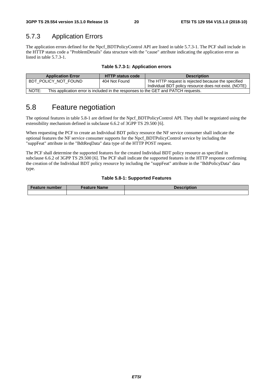### 5.7.3 Application Errors

The application errors defined for the Npcf\_BDTPolicyControl API are listed in table 5.7.3-1. The PCF shall include in the HTTP status code a "ProblemDetails" data structure with the "cause" attribute indicating the application error as listed in table 5.7.3-1.

| <b>Application Error</b>                                                                    | <b>HTTP status code</b> | <b>Description</b>                                    |  |  |  |
|---------------------------------------------------------------------------------------------|-------------------------|-------------------------------------------------------|--|--|--|
| BDT POLICY NOT FOUND                                                                        | 404 Not Found           | The HTTP request is rejected because the specified    |  |  |  |
|                                                                                             |                         | Individual BDT policy resource does not exist. (NOTE) |  |  |  |
| NOTE:<br>This application error is included in the responses to the GET and PATCH requests. |                         |                                                       |  |  |  |

### 5.8 Feature negotiation

The optional features in table 5.8-1 are defined for the Npcf\_BDTPolicyControl API. They shall be negotiated using the extensibility mechanism defined in subclause 6.6.2 of 3GPP TS 29.500 [6].

When requesting the PCF to create an Individual BDT policy resource the NF service consumer shall indicate the optional features the NF service consumer supports for the Npcf\_BDTPolicyControl service by including the "suppFeat" attribute in the "BdtReqData" data type of the HTTP POST request.

The PCF shall determine the supported features for the created Individual BDT policy resource as specified in subclause 6.6.2 of 3GPP TS 29.500 [6]. The PCF shall indicate the supported features in the HTTP response confirming the creation of the Individual BDT policy resource by including the "suppFeat" attribute in the "BdtPolicyData" data type.

#### **Table 5.8-1: Supported Features**

| <b>Feature number</b> | <b>Feature Name</b> | <b>Description</b> |
|-----------------------|---------------------|--------------------|
|                       |                     |                    |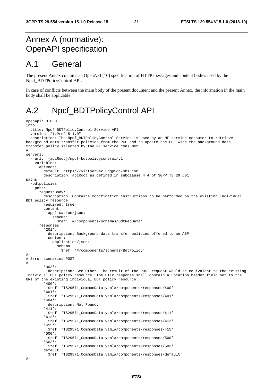## Annex A (normative): OpenAPI specification

## A.1 General

The present Annex contains an OpenAPI [10] specification of HTTP messages and content bodies used by the Npcf\_BDTPolicyControl API.

In case of conflicts between the main body of the present document and the present Annex, the information in the main body shall be applicable.

## A.2 Npcf\_BDTPolicyControl API

```
openapi: 3.0.0 
info: 
   title: Npcf_BDTPolicyControl Service API 
   version: "1.PreR15.1.0" 
   description: The Npcf_BDTPolicyControl Service is used by an NF service consumer to retrieve 
background data transfer policies from the PCF and to update the PCF with the background data 
transfer policy selected by the NF service consumer. 
# 
servers: 
   - url: '{apiRoot}/npcf-bdtpolicycontrol/v1' 
     variables: 
       apiRoot: 
         default: https://virtserver.3ggp5gc-sbi.com 
         description: apiRoot as defined in subclause 4.4 of 3GPP TS 29.501. 
paths: 
   /bdtpolicies: 
     post: 
       requestBody: 
         description: Contains modification instructions to be performed on the existing Individual 
BDT policy resource. 
         required: true 
         content: 
           application/json: 
             schema: 
                $ref: '#/components/schemas/BdtReqData' 
       responses: 
          '201': 
           description: Background data transfer policies offered to an ASP. 
           content: 
              application/json: 
                schema: 
                  $ref: '#/components/schemas/BdtPolicy' 
# 
# Error scenarios POST 
# 
          '303': 
           description: See Other. The result of the POST request would be equivalent to the existing 
Individual BDT policy resource. The HTTP response shall contain a Location header field set to the 
URI of the existing individual BDT policy resource. 
          '400': 
           $ref: 'TS29571_CommonData.yaml#/components/responses/400' 
          '401': 
           $ref: 'TS29571_CommonData.yaml#/components/responses/401' 
          '404': 
           description: Not Found. 
          '411': 
           $ref: 'TS29571_CommonData.yaml#/components/responses/411' 
          '413': 
           $ref: 'TS29571_CommonData.yaml#/components/responses/413' 
          '415': 
           $ref: 'TS29571_CommonData.yaml#/components/responses/415' 
          '500': 
            $ref: 'TS29571_CommonData.yaml#/components/responses/500' 
          '503': 
           $ref: 'TS29571_CommonData.yaml#/components/responses/503' 
         default: 
           $ref: 'TS29571_CommonData.yaml#/components/responses/default' 
#
```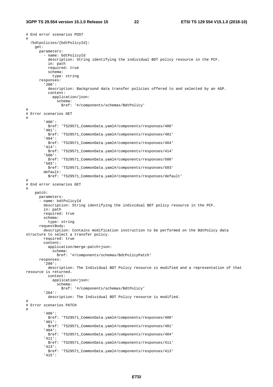```
# End error scenarios POST 
# 
   /bdtpolicies/{bdtPolicyId}: 
     get: 
       parameters: 
          - name: bdtPolicyId 
           description: String identifying the individual BDT policy resource in the PCF. 
           in: path 
           required: true 
           schema: 
             type: string 
       responses: 
          '200': 
           description: Background data transfer policies offered to and selected by an ASP. 
           content: 
             application/json: 
                schema: 
                  $ref: '#/components/schemas/BdtPolicy' 
# 
# Error scenarios GET 
# 
          '400': 
           $ref: 'TS29571_CommonData.yaml#/components/responses/400' 
         '401': 
           $ref: 'TS29571_CommonData.yaml#/components/responses/401' 
          '404': 
           $ref: 'TS29571_CommonData.yaml#/components/responses/404' 
          '414': 
           $ref: 'TS29571_CommonData.yaml#/components/responses/414' 
          '500': 
           $ref: 'TS29571_CommonData.yaml#/components/responses/500' 
          '503': 
           $ref: 'TS29571_CommonData.yaml#/components/responses/503' 
         default: 
           $ref: 'TS29571_CommonData.yaml#/components/responses/default' 
# 
# End error scenarios GET 
# 
     patch: 
       parameters: 
        - name: bdtPolicyId 
         description: String identifying the individual BDT policy resource in the PCF. 
         in: path 
         required: true 
         schema: 
           type: string 
       requestBody: 
         description: Contains modification instruction to be performed on the BdtPolicy data 
structure to select a transfer policy. 
         required: true 
         content: 
           application/merge-patch+json: 
              schema: 
                $ref: '#/components/schemas/BdtPolicyPatch' 
       responses: 
          '200': 
           description: The Individual BDT Policy resource is modified and a representation of that 
resource is returned. 
           content: 
              application/json: 
                schema: 
                  $ref: '#/components/schemas/BdtPolicy' 
          '204': 
           description: The Individual BDT Policy resource is modified. 
# 
# Error scenarios PATCH 
# 
          '400': 
           $ref: 'TS29571_CommonData.yaml#/components/responses/400' 
          '401': 
           $ref: 'TS29571_CommonData.yaml#/components/responses/401' 
          '404': 
           $ref: 'TS29571_CommonData.yaml#/components/responses/404' 
          '411': 
           $ref: 'TS29571_CommonData.yaml#/components/responses/411' 
          '413': 
           $ref: 'TS29571_CommonData.yaml#/components/responses/413' 
          '415':
```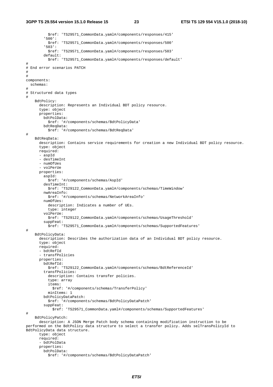\$ref: 'TS29571\_CommonData.yaml#/components/responses/415' '500': \$ref: 'TS29571\_CommonData.yaml#/components/responses/500' '503': \$ref: 'TS29571\_CommonData.yaml#/components/responses/503' default: \$ref: 'TS29571\_CommonData.yaml#/components/responses/default' # # End error scenarios PATCH # # components: schemas: # # Structured data types # BdtPolicy: description: Represents an Individual BDT policy resource. type: object properties: bdtPolData: \$ref: '#/components/schemas/BdtPolicyData' bdtReqData: \$ref: '#/components/schemas/BdtReqData' # BdtReqData: description: Contains service requirements for creation a new Individual BDT policy resource. type: object required: - aspId - desTimeInt - numOfUes - volPerUe properties: aspId: \$ref: '#/components/schemas/AspId' desTimeInt: \$ref: 'TS29122\_CommonData.yaml#/components/schemas/TimeWindow' nwAreaInfo: \$ref: '#/components/schemas/NetworkAreaInfo' numOfUes: description: Indicates a number of UEs. type: integer volPerUe: \$ref: 'TS29122\_CommonData.yaml#/components/schemas/UsageThreshold' suppFeat: \$ref: 'TS29571\_CommonData.yaml#/components/schemas/SupportedFeatures' # BdtPolicyData: description: Describes the authorization data of an Individual BDT policy resource. type: object required: - bdtRefId - transfPolicies properties: bdtRefId: \$ref: 'TS29122\_CommonData.yaml#/components/schemas/BdtReferenceId' transfPolicies: description: Contains transfer policies. type: array items: \$ref: '#/components/schemas/TransferPolicy' minItems: 1 bdtPolicyDataPatch: \$ref: '#/components/schemas/BdtPolicyDataPatch' suppFeat: \$ref: 'TS29571\_CommonData.yaml#/components/schemas/SupportedFeatures' # BdtPolicyPatch: description: A JSON Merge Patch body schema containing modification instruction to be performed on the BdtPolicy data structure to select a transfer policy. Adds selTransPolicyId to BdtPolicyData data structure. type: object required: - bdtPolData properties: bdtPolData: \$ref: '#/components/schemas/BdtPolicyDataPatch'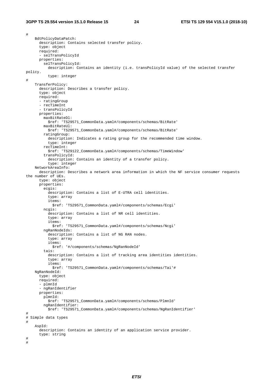# BdtPolicyDataPatch: description: Contains selected transfer policy. type: object required: - selTransPolicyId properties: selTransPolicyId: description: Contains an identity (i.e. transPolicyId value) of the selected transfer policy. type: integer # TransferPolicy: description: Describes a transfer policy. type: object required: - ratingGroup - recTimeInt - transPolicyId properties: maxBitRateDl: \$ref: 'TS29571\_CommonData.yaml#/components/schemas/BitRate' maxBitRateUl: \$ref: 'TS29571\_CommonData.yaml#/components/schemas/BitRate' ratingGroup: description: Indicates a rating group for the recommended time window. type: integer recTimeInt: \$ref: 'TS29122\_CommonData.yaml#/components/schemas/TimeWindow' transPolicyId: description: Contains an identity of a transfer policy. type: integer NetworkAreaInfo: description: Describes a network area information in which the NF service consumer requests the number of UEs. type: object properties: ecgis: description: Contains a list of E-UTRA cell identities. type: array items: \$ref: 'TS29571\_CommonData.yaml#/components/schemas/Ecgi' ncgis: description: Contains a list of NR cell identities. type: array items: \$ref: 'TS29571\_CommonData.yaml#/components/schemas/Ncgi' ngRanNodeIds: description: Contains a list of NG RAN nodes. type: array items: \$ref: '#/components/schemas/NgRanNodeId' tais: description: Contains a list of tracking area identities identities. type: array items: \$ref: 'TS29571\_CommonData.yaml#/components/schemas/Tai'# NgRanNodeId: type: object required: - plmnId - ngRanIdentifier properties: plmnId: \$ref: 'TS29571\_CommonData.yaml#/components/schemas/PlmnId' ngRanIdentifier: \$ref: 'TS29571\_CommonData.yaml#/components/schemas/NgRanIdentifier' # # Simple data types # AspId: description: Contains an identity of an application service provider. type: string # #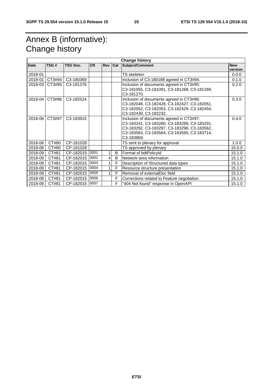## Annex B (informative): Change history

|             | <b>Change history</b> |                        |           |       |     |                                                                                                                                                                                                     |                       |
|-------------|-----------------------|------------------------|-----------|-------|-----|-----------------------------------------------------------------------------------------------------------------------------------------------------------------------------------------------------|-----------------------|
| <b>Date</b> | TSG#                  | <b>TSG Doc.</b>        | <b>CR</b> | Rev I | Cat | <b>Subject/Comment</b>                                                                                                                                                                              | <b>New</b><br>version |
| 2018-01     |                       |                        |           |       |     | TS skeleton                                                                                                                                                                                         | 0.0.0                 |
| 2018-01     | CT3#94                | C <sub>3</sub> -180369 |           |       |     | Inclusion of C3-180188 agreed in CT3#94.                                                                                                                                                            | 0.1.0                 |
| 2018-03     | CT3#95                | C3-181376              |           |       |     | Inclusion of documents agreed in CT3#95:<br>C3-181055, C3-181091, C3-181268, C3-181269,<br>C3-181270.                                                                                               | 0.2.0                 |
| 2018-04     | CT3#96                | C3-182524              |           |       |     | Inclusion of documents agreed in CT3#96:<br>C3-182048, C3-182428, C3-182427, C3-182051,<br>C3-182052, C3-182053, C3-182429, C3-182454,<br>C3-182430, C3-182232.                                     | 0.3.0                 |
| 2018-06     | CT3#97                | C3-183915              |           |       |     | Inclusion of documents agreed in CT3#97:<br>C3-183241, C3-183280, C3-183289, C3-183291,<br>C3-183292, C3-183297, C3-183298, C3-183562,<br>C3-183563, C3-183564, C3-183565, C3-183714,<br>C3-183869. | 0.4.0                 |
| 2018-06     | CT#80                 | CP-181028              |           |       |     | TS sent to plenary for approval                                                                                                                                                                     | 1.0.0                 |
| 2018-06     | CT#80                 | CP-181028              |           |       |     | TS approved by plenary                                                                                                                                                                              | 15.0.0                |
| 2018-09     | CT#81                 | CP-182015              | 0001      | 1     | B   | Format of bdtPolicyId                                                                                                                                                                               | 15.1.0                |
| 2018-09     | CT#81                 | CP-182015              | 0002      | 4     | B   | Network area information                                                                                                                                                                            | 15.1.0                |
| 2018-09     | CT#81                 | CP-182015              | 0003      | 1     | F   | Description of Structured data types                                                                                                                                                                | 15.1.0                |
| 2018-09     | CT#81                 | CP-182015              | 0004      | 1     | F   | Resource structure presentation                                                                                                                                                                     | 15.1.0                |
| 2018-09     | CT#81                 | CP-182015              | 0005      | 1     | F   | Removal of externalDoc field                                                                                                                                                                        | 15.1.0                |
| 2018-09     | CT#81                 | CP-182015              | 0006      |       | F   | Corrections related to Feature negotiation                                                                                                                                                          | 15.1.0                |
| 2018-09     | CT#81                 | CP-182015 0007         |           |       | F   | "404 Not found" response in OpenAPI                                                                                                                                                                 | 15.1.0                |